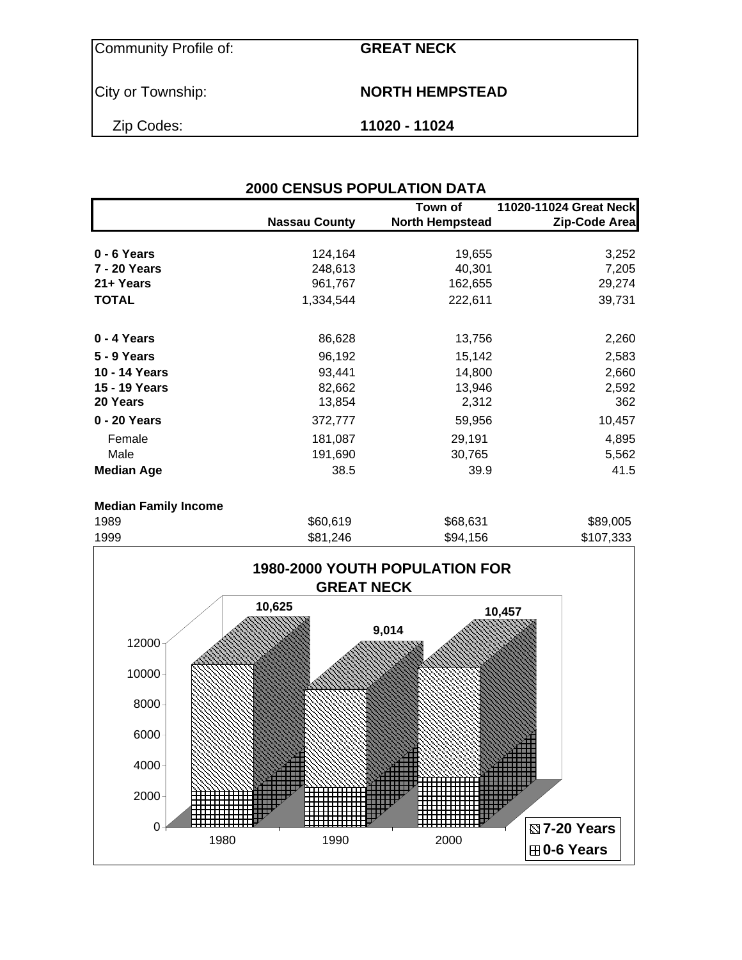Community Profile of: **GREAT NECK**

# City or Township: **NORTH HEMPSTEAD**

Zip Codes: **11020 - 11024**

| <b>2000 CENSUS POPULATION DATA</b> |                      |                                   |                                         |  |  |  |  |  |  |
|------------------------------------|----------------------|-----------------------------------|-----------------------------------------|--|--|--|--|--|--|
|                                    | <b>Nassau County</b> | Town of<br><b>North Hempstead</b> | 11020-11024 Great Neck<br>Zip-Code Area |  |  |  |  |  |  |
| 0 - 6 Years                        | 124,164              | 19,655                            | 3,252                                   |  |  |  |  |  |  |
| <b>7 - 20 Years</b>                | 248,613              | 40,301                            | 7,205                                   |  |  |  |  |  |  |
| 21+ Years                          | 961,767              | 162,655                           | 29,274                                  |  |  |  |  |  |  |
| <b>TOTAL</b>                       | 1,334,544            | 222,611                           | 39,731                                  |  |  |  |  |  |  |
| 0 - 4 Years                        | 86,628               | 13,756                            | 2,260                                   |  |  |  |  |  |  |
| <b>5 - 9 Years</b>                 | 96,192               | 15,142                            | 2,583                                   |  |  |  |  |  |  |
| 10 - 14 Years                      | 93,441               | 14,800                            | 2,660                                   |  |  |  |  |  |  |
| 15 - 19 Years                      | 82,662               | 13,946                            | 2,592                                   |  |  |  |  |  |  |
| 20 Years                           | 13,854               | 2,312                             | 362                                     |  |  |  |  |  |  |
| 0 - 20 Years                       | 372,777              | 59,956                            | 10,457                                  |  |  |  |  |  |  |
| Female                             | 181,087              | 29,191                            | 4,895                                   |  |  |  |  |  |  |
| Male                               | 191,690              | 30,765                            | 5,562                                   |  |  |  |  |  |  |
| <b>Median Age</b>                  | 38.5                 | 39.9                              | 41.5                                    |  |  |  |  |  |  |
| <b>Median Family Income</b>        |                      |                                   |                                         |  |  |  |  |  |  |
| 1989                               | \$60,619             | \$68,631                          | \$89,005                                |  |  |  |  |  |  |

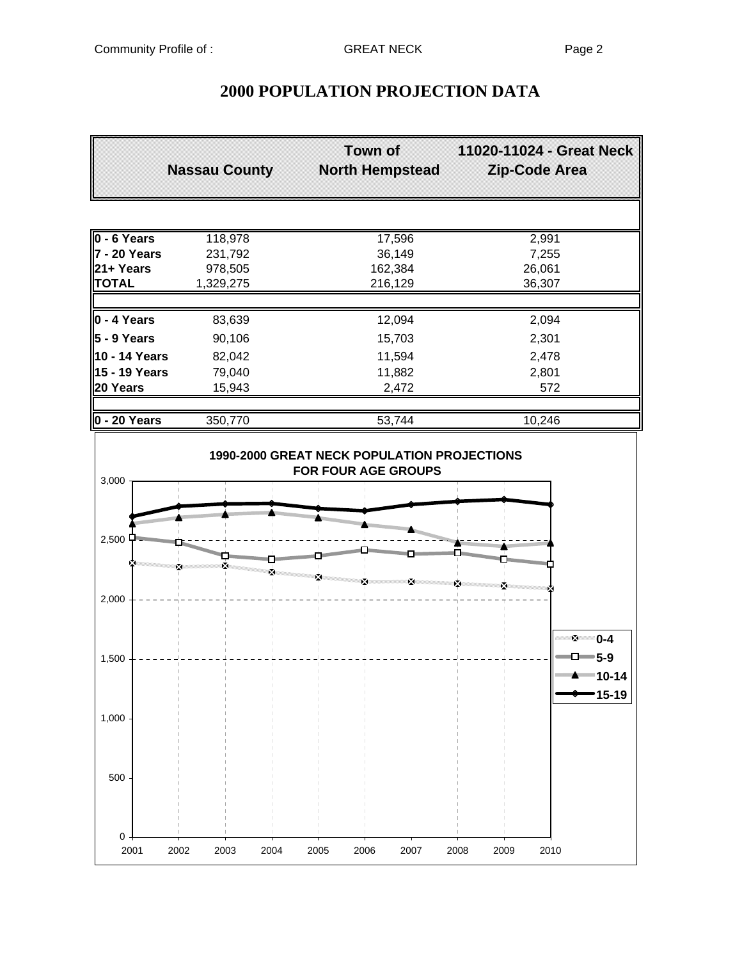$0 -$ 

500

# **Town of 11020-11024 - Great Neck Nassau County North Hempstead Zip-Code Area 0 - 6 Years** 118,978 17,596 2,991 **7 - 20 Years** 231,792 36,149 36,149 7,255 **21+ Years** 978,505 162,384 26,061 **TOTAL** 1,329,275 216,129 36,307 **0 - 4 Years** 83,639 12,094 2,094 **5 - 9 Years** 90,106 15,703 2,301 **10 - 14 Years** 82,042 11,594 2,478 **15 - 19 Years** 79,040 11,882 2,801 **20 Years** 15,943 2,472 572 **0 - 20 Years** 350,770 53,744 53,744 10,246 **1990-2000 GREAT NECK POPULATION PROJECTIONS FOR FOUR AGE GROUPS** 3,000  $2,500$ ż Ÿ. × Ŷ. 2,000 **0-4 5-9** 1,500 **10-14 15-19**1,000

2001 2002 2003 2004 2005 2006 2007 2008 2009 2010

### **2000 POPULATION PROJECTION DATA**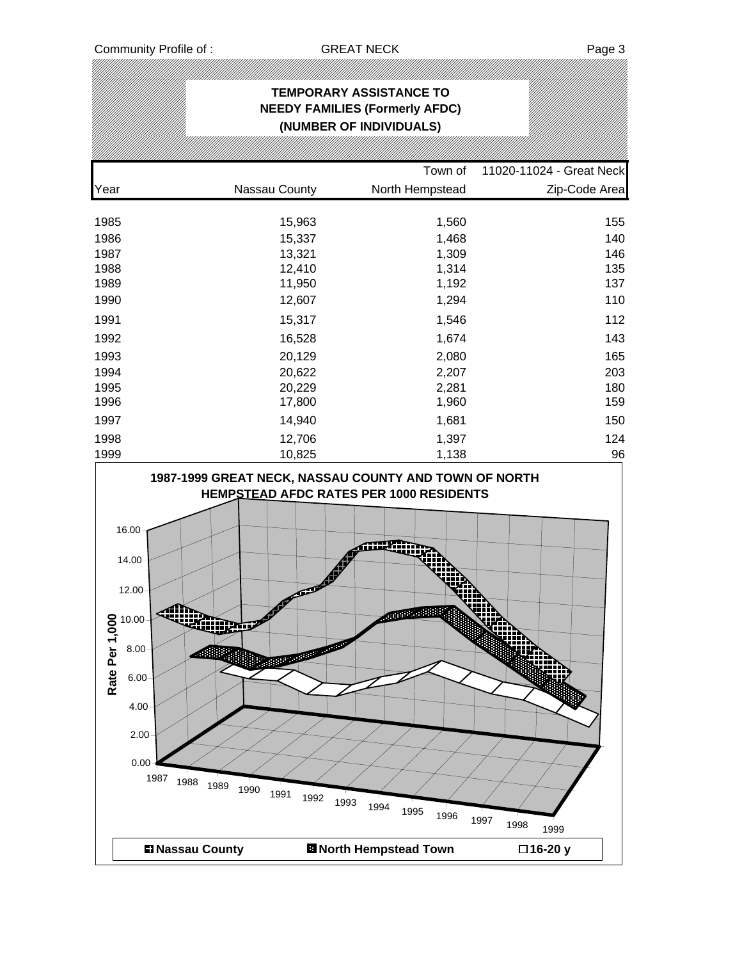## **TEMPORARY ASSISTANCE TO NEEDY FAMILIES (Formerly AFDC) (NUMBER OF INDIVIDUALS)** Town of 11020-11024 - Great Neck Year Nassau County North Hempstead Zip-Code Area 1985 15,963 1,560 155 1986 15,337 1,468 140 1987 13,321 1,309 146 1988 12,410 1,314 135 1989 11,950 1,192 137 1990 12,607 1,294 110 1991 15,317 1,546 112 1992 16,528 1,674 143 1993 20,129 2,080 165 1994 20,622 2,207 203 1995 20,229 2,281 180 1996 17,800 1,960 159 1997 14,940 1,681 150 1998 12,706 1,397 124 1999 10,825 1,138 96 **1987-1999 GREAT NECK, NASSAU COUNTY AND TOWN OF NORTH HEMPSTEAD AFDC RATES PER 1000 RESIDENTS** 16.00 14.00 12.00 88 10.00

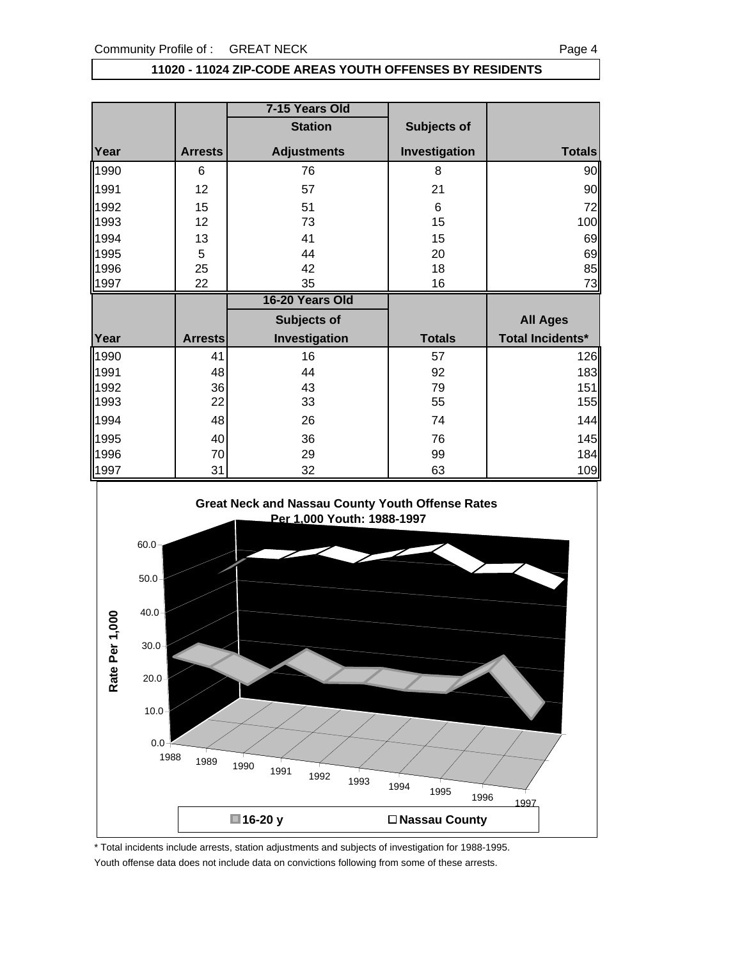### **11020 - 11024 ZIP-CODE AREAS YOUTH OFFENSES BY RESIDENTS**

|                      |                | 7-15 Years Old     |               |                   |
|----------------------|----------------|--------------------|---------------|-------------------|
|                      |                | <b>Station</b>     | Subjects of   |                   |
| Year                 | <b>Arrests</b> | <b>Adjustments</b> | Investigation | <b>Totals</b>     |
| 1990                 | 6              | 76                 | 8             | 90                |
| 1991                 | 12             | 57                 | 21            | 90                |
| 1992                 | 15             | 51                 | 6             | 72                |
| 1993                 | 12             | 73                 | 15            | 100               |
| 1994                 | 13             | 41                 | 15            | 69                |
| 1995                 | 5              | 44                 | 20            | 69                |
| 1996                 | 25             | 42                 | 18            | 85                |
| 1997                 | 22             | 35                 | 16            | 73                |
|                      |                |                    |               |                   |
|                      |                | 16-20 Years Old    |               |                   |
|                      |                | Subjects of        |               | <b>All Ages</b>   |
| Year                 | <b>Arrests</b> | Investigation      | <b>Totals</b> | Total Incidents*  |
|                      | 41             | 16                 | 57            |                   |
|                      | 48             | 44                 | 92            |                   |
| 1990<br>1991<br>1992 | 36             | 43                 | 79            | 126<br>183<br>151 |
| 1993                 | 22             | 33                 | 55            | 155               |
|                      | 48             | 26                 | 74            |                   |
| 1994<br>1995         | 40             | 36                 | 76            | 144<br>145        |
| 1996                 | 70             | 29                 | 99            | 184               |



\* Total incidents include arrests, station adjustments and subjects of investigation for 1988-1995. Youth offense data does not include data on convictions following from some of these arrests.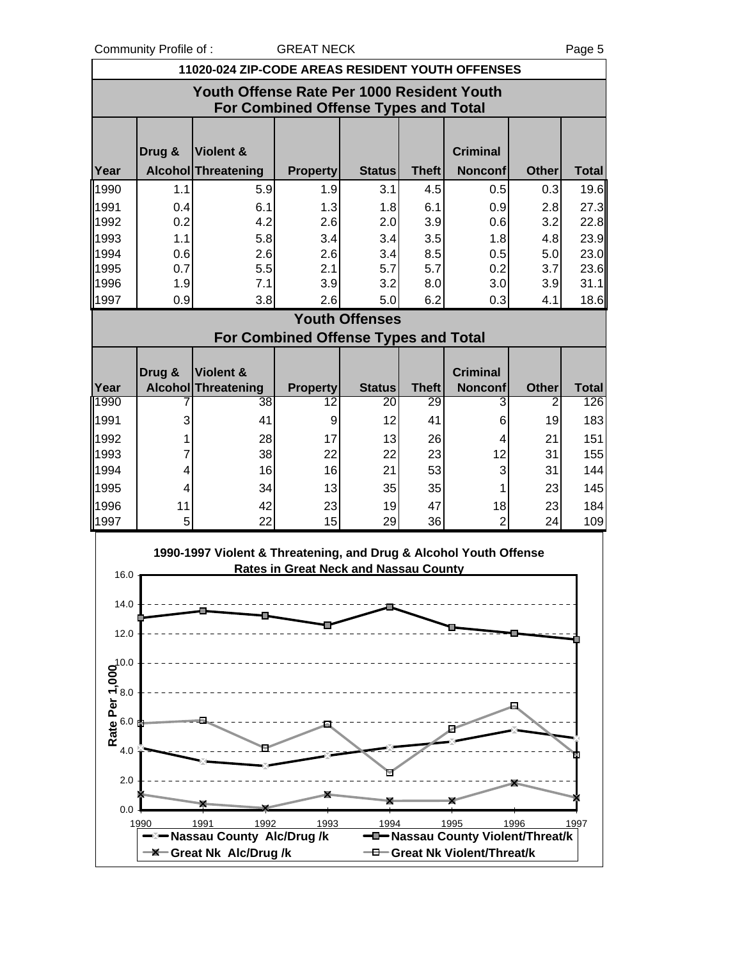Community Profile of : GREAT NECK COMMUNITY Profile of :

| ı uyu u                                                                            |                                                  |                                                                          |                                      |                       |              |                 |              |              |  |  |  |  |
|------------------------------------------------------------------------------------|--------------------------------------------------|--------------------------------------------------------------------------|--------------------------------------|-----------------------|--------------|-----------------|--------------|--------------|--|--|--|--|
|                                                                                    | 11020-024 ZIP-CODE AREAS RESIDENT YOUTH OFFENSES |                                                                          |                                      |                       |              |                 |              |              |  |  |  |  |
| Youth Offense Rate Per 1000 Resident Youth<br>For Combined Offense Types and Total |                                                  |                                                                          |                                      |                       |              |                 |              |              |  |  |  |  |
|                                                                                    |                                                  |                                                                          |                                      |                       |              |                 |              |              |  |  |  |  |
|                                                                                    |                                                  |                                                                          |                                      |                       |              |                 |              |              |  |  |  |  |
|                                                                                    | Drug &                                           | Violent &                                                                |                                      |                       |              | <b>Criminal</b> |              |              |  |  |  |  |
| Year                                                                               |                                                  | Alcohol Threatening                                                      | <b>Property</b>                      | <b>Status</b>         | <b>Theft</b> | <b>Nonconf</b>  | <b>Other</b> | <b>Total</b> |  |  |  |  |
| 1990                                                                               | 1.1                                              | 5.9                                                                      | 1.9                                  | 3.1                   | 4.5          | 0.5             | 0.3          | 19.6         |  |  |  |  |
| 1991                                                                               | 0.4                                              | 6.1                                                                      | 1.3                                  | 1.8                   | 6.1          | 0.9             | 2.8          | 27.3         |  |  |  |  |
| 1992                                                                               | 0.2                                              | 4.2                                                                      | 2.6                                  | 2.0                   | 3.9          | 0.6             | 3.2          | 22.8         |  |  |  |  |
| 1993                                                                               | 1.1                                              | 5.8                                                                      | 3.4                                  | 3.4                   | 3.5          | 1.8             | 4.8          | 23.9         |  |  |  |  |
| 1994                                                                               | 0.6                                              | 2.6                                                                      | 2.6                                  | 3.4                   | 8.5          | 0.5             | 5.0          | 23.0         |  |  |  |  |
| 1995<br>1996                                                                       | 0.7<br>1.9                                       | 5.5<br>7.1                                                               | 2.1<br>3.9                           | 5.7<br>3.2            | 5.7<br>8.0   | 0.2<br>3.0      | 3.7<br>3.9   | 23.6<br>31.1 |  |  |  |  |
| 1997                                                                               | 0.9                                              | 3.8                                                                      | 2.6                                  | 5.0                   | 6.2          | 0.3             | 4.1          | 18.6         |  |  |  |  |
|                                                                                    |                                                  |                                                                          |                                      | <b>Youth Offenses</b> |              |                 |              |              |  |  |  |  |
|                                                                                    |                                                  |                                                                          | For Combined Offense Types and Total |                       |              |                 |              |              |  |  |  |  |
|                                                                                    |                                                  |                                                                          |                                      |                       |              |                 |              |              |  |  |  |  |
|                                                                                    | Drug &                                           | Violent &                                                                |                                      |                       |              | <b>Criminal</b> |              |              |  |  |  |  |
| Year                                                                               |                                                  | Alcohol Threatening                                                      | <b>Property</b>                      | <b>Status</b>         | <b>Theft</b> | <b>Nonconf</b>  | <b>Other</b> | <b>Total</b> |  |  |  |  |
| 1990                                                                               |                                                  | 38                                                                       | 12                                   | 20                    | 29           | 3               | 2            | 126          |  |  |  |  |
| 1991                                                                               | 3                                                | 41                                                                       | 9                                    | 12                    | 41           | 6               | 19           | 183          |  |  |  |  |
| 1992                                                                               |                                                  | 28                                                                       | 17                                   | 13                    | 26           | 4               | 21           | 151          |  |  |  |  |
| 1993                                                                               | 7                                                | 38                                                                       | 22                                   | 22                    | 23           | 12              | 31           | 155          |  |  |  |  |
| 1994                                                                               | 4                                                | 16                                                                       | 16                                   | 21                    | 53           | 3               | 31           | 144          |  |  |  |  |
| 1995                                                                               | 4                                                | 34                                                                       | 13                                   | 35                    | 35           |                 | 23           | 145          |  |  |  |  |
| 1996                                                                               | 11                                               | 42                                                                       | 23                                   | 19                    | 47           | 18              | 23           | 184          |  |  |  |  |
| 1997                                                                               | 5                                                | 22                                                                       | 15                                   | 29                    | 36           | $\overline{2}$  | 24           | 109          |  |  |  |  |
|                                                                                    |                                                  | $1000$ $1007$ $Vichant$ $9$ Threatening and Drug $9$ Aleahal Vauth Offer |                                      |                       |              |                 |              |              |  |  |  |  |

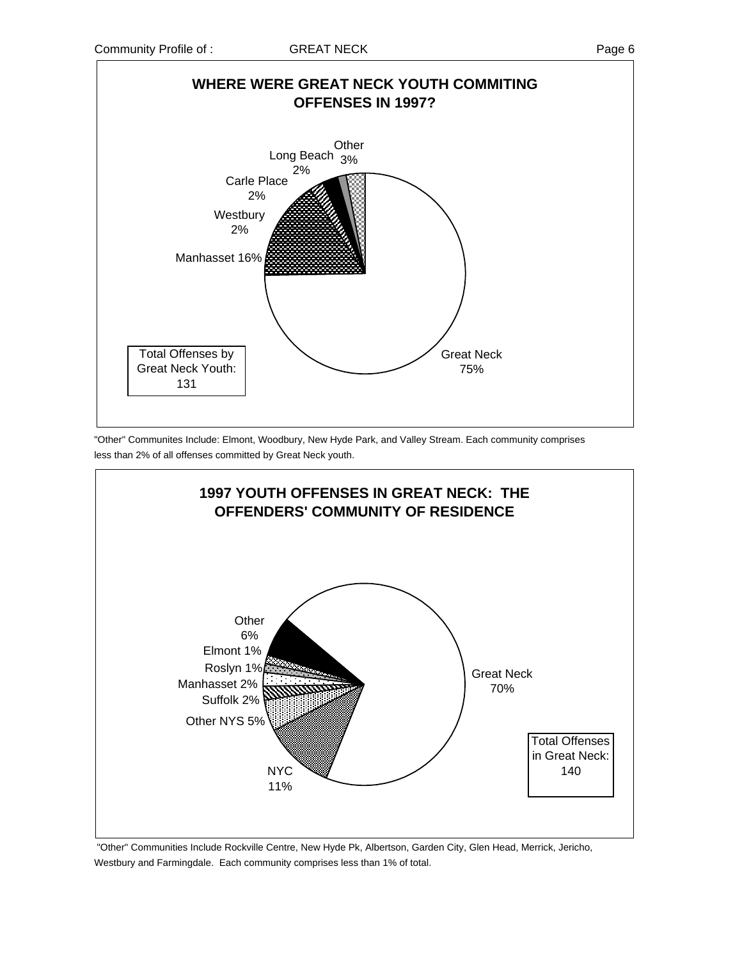

"Other" Communites Include: Elmont, Woodbury, New Hyde Park, and Valley Stream. Each community comprises less than 2% of all offenses committed by Great Neck youth.



 "Other" Communities Include Rockville Centre, New Hyde Pk, Albertson, Garden City, Glen Head, Merrick, Jericho, Westbury and Farmingdale. Each community comprises less than 1% of total.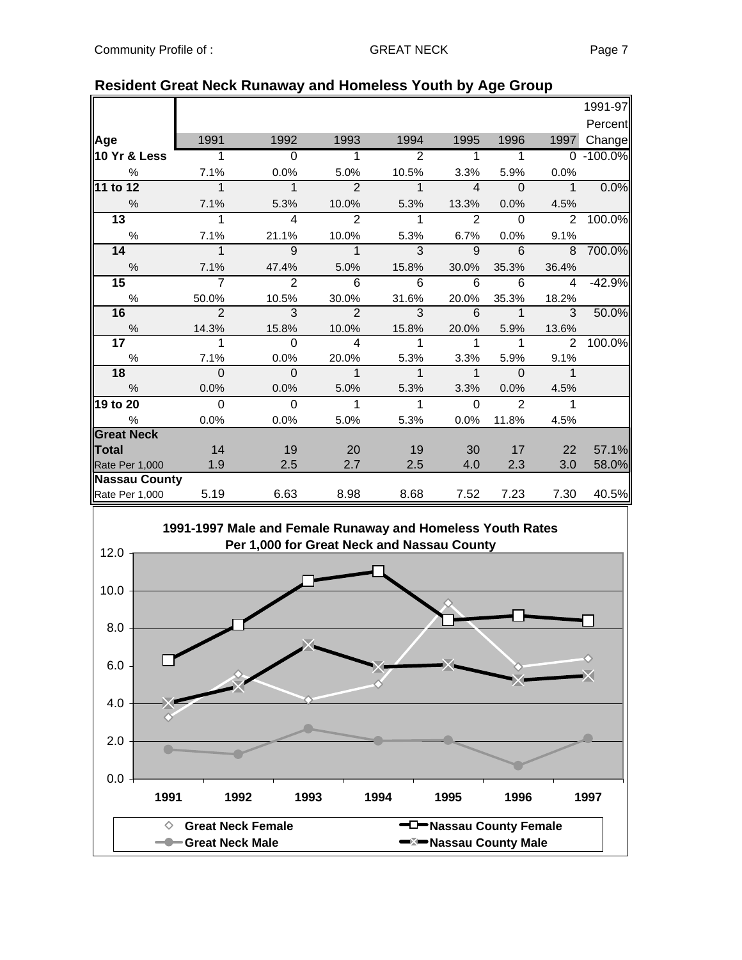|                      |                     |                |                         |                |                |             |                      | 1991-97   |
|----------------------|---------------------|----------------|-------------------------|----------------|----------------|-------------|----------------------|-----------|
|                      |                     |                |                         |                |                |             |                      | Percent   |
| Age                  | 1991                | 1992           | 1993                    | 1994           | 1995           | 1996        | 1997                 | Change    |
| 10 Yr & Less         | $\overline{1}$      | $\overline{0}$ | 1                       | $\overline{2}$ | 1              | 1           | $\Omega$             | $-100.0%$ |
| $\%$                 | 7.1%                | 0.0%           | 5.0%                    | 10.5%          | 3.3%           | 5.9%        | 0.0%                 |           |
| 11 to 12             | $\ddot{\mathbf{1}}$ | $\mathbf 1$    | $\overline{2}$          | $\mathbf{1}$   | $\overline{4}$ | $\Omega$    | $\overline{1}$       | 0.0%      |
| $\frac{0}{0}$        | 7.1%                | 5.3%           | 10.0%                   | 5.3%           | 13.3%          | 0.0%        | 4.5%                 |           |
| 13                   | 1                   | 4              | $\overline{2}$          | 1              | $\mathbf{2}$   | $\Omega$    | 2                    | 100.0%    |
| $\%$                 | 7.1%                | 21.1%          | 10.0%                   | 5.3%           | 6.7%           | 0.0%        | 9.1%                 |           |
| 14                   | 1                   | 9              | $\overline{1}$          | 3              | 9              | 6           | 8                    | 700.0%    |
| $\%$                 | 7.1%                | 47.4%          | 5.0%                    | 15.8%          | 30.0%          | 35.3%       | 36.4%                |           |
| 15                   | $\overline{7}$      | $\mathcal{P}$  | 6                       | 6              | 6              | 6           | $\overline{4}$       | $-42.9%$  |
| $\%$                 | 50.0%               | 10.5%          | 30.0%                   | 31.6%          | 20.0%          | 35.3%       | 18.2%                |           |
| 16                   | $\overline{2}$      | 3              | $\overline{2}$          | 3              | 6              | $\mathbf 1$ | 3                    | 50.0%     |
| $\%$                 | 14.3%               | 15.8%          | 10.0%                   | 15.8%          | 20.0%          | 5.9%        | 13.6%                |           |
| 17                   | 1                   | $\Omega$       | $\overline{\mathbf{4}}$ | 1              | 1              | 1           | 2                    | 100.0%    |
| $\%$                 | 7.1%                | 0.0%           | 20.0%                   | 5.3%           | 3.3%           | 5.9%        | 9.1%                 |           |
| 18                   | $\mathbf{0}$        | $\mathbf 0$    | $\mathbf{1}$            | $\mathbf 1$    | $\mathbf{1}$   | $\Omega$    | $\mathbf 1$          |           |
| %                    | 0.0%                | 0.0%           | 5.0%                    | 5.3%           | 3.3%           | 0.0%        | 4.5%                 |           |
| 19 to 20             | $\Omega$            | $\Omega$       | 1                       | 1              | $\Omega$       | 2           | $\blacktriangleleft$ |           |
| $\%$                 | 0.0%                | 0.0%           | 5.0%                    | 5.3%           | 0.0%           | 11.8%       | 4.5%                 |           |
| <b>Great Neck</b>    |                     |                |                         |                |                |             |                      |           |
| Total                | 14                  | 19             | 20                      | 19             | 30             | 17          | 22                   | 57.1%     |
| Rate Per 1,000       | 1.9                 | 2.5            | 2.7                     | 2.5            | 4.0            | 2.3         | 3.0                  | 58.0%     |
| <b>Nassau County</b> |                     |                |                         |                |                |             |                      |           |
| Rate Per 1,000       | 5.19                | 6.63           | 8.98                    | 8.68           | 7.52           | 7.23        | 7.30                 | 40.5%     |

### **Resident Great Neck Runaway and Homeless Youth by Age Group**

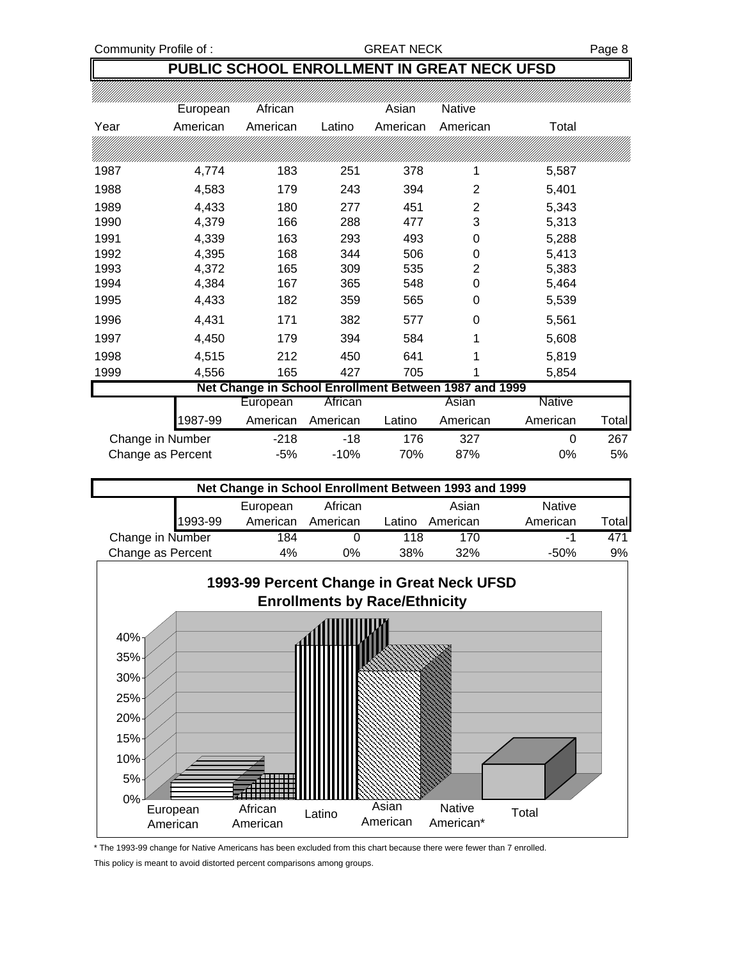### **PUBLIC SCHOOL ENROLLMENT IN GREAT NECK UFSD**

|                   | European | African  |          | Asian    | Native                                                |               |       |
|-------------------|----------|----------|----------|----------|-------------------------------------------------------|---------------|-------|
| Year              | American | American | Latino   | American | American                                              | Total         |       |
|                   |          |          |          |          |                                                       |               |       |
| 1987              | 4,774    | 183      | 251      | 378      | 1                                                     | 5,587         |       |
| 1988              | 4,583    | 179      | 243      | 394      | 2                                                     | 5,401         |       |
| 1989              | 4,433    | 180      | 277      | 451      | 2                                                     | 5,343         |       |
| 1990              | 4,379    | 166      | 288      | 477      | 3                                                     | 5,313         |       |
| 1991              | 4,339    | 163      | 293      | 493      | $\Omega$                                              | 5,288         |       |
| 1992              | 4,395    | 168      | 344      | 506      | $\Omega$                                              | 5,413         |       |
| 1993              | 4,372    | 165      | 309      | 535      | $\overline{2}$                                        | 5,383         |       |
| 1994              | 4,384    | 167      | 365      | 548      | 0                                                     | 5,464         |       |
| 1995              | 4,433    | 182      | 359      | 565      | 0                                                     | 5,539         |       |
| 1996              | 4,431    | 171      | 382      | 577      | 0                                                     | 5,561         |       |
| 1997              | 4,450    | 179      | 394      | 584      | 1                                                     | 5,608         |       |
| 1998              | 4,515    | 212      | 450      | 641      |                                                       | 5,819         |       |
| 1999              | 4,556    | 165      | 427      | 705      |                                                       | 5,854         |       |
|                   |          |          |          |          | Net Change in School Enrollment Between 1987 and 1999 |               |       |
|                   |          | European | African  |          | Asian                                                 | <b>Native</b> |       |
|                   | 1987-99  | American | American | Latino   | American                                              | American      | Total |
| Change in Number  |          | $-218$   | -18      | 176      | 327                                                   | 0             | 267   |
| Change as Percent |          | -5%      | $-10%$   | 70%      | 87%                                                   | 0%            | 5%    |

| Net Change in School Enrollment Between 1993 and 1999 |         |          |          |        |          |               |       |  |  |  |  |
|-------------------------------------------------------|---------|----------|----------|--------|----------|---------------|-------|--|--|--|--|
|                                                       |         | European | African  |        | Asian    | <b>Native</b> |       |  |  |  |  |
|                                                       | 1993-99 | American | American | Latino | American | American      | Total |  |  |  |  |
| Change in Number                                      |         | 184      |          | 118    | 170      | -1            | 471   |  |  |  |  |
| Change as Percent                                     |         | 4%       | ገ%       | 38%    | 32%      | -50%          | 9%    |  |  |  |  |



\* The 1993-99 change for Native Americans has been excluded from this chart because there were fewer than 7 enrolled.

This policy is meant to avoid distorted percent comparisons among groups.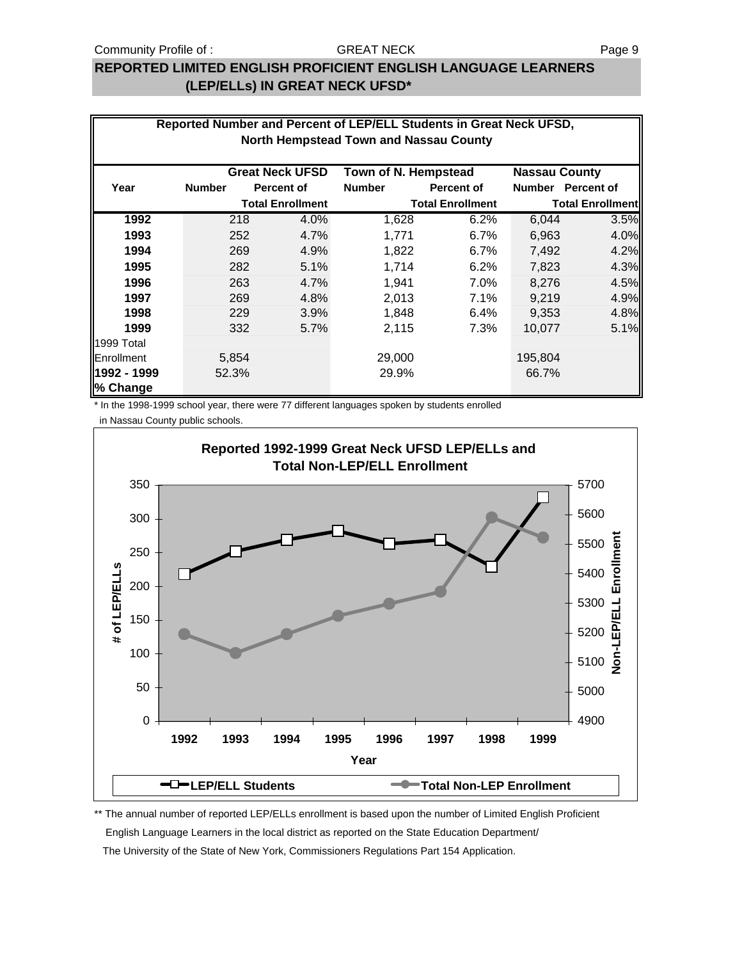### **REPORTED LIMITED ENGLISH PROFICIENT ENGLISH LANGUAGE LEARNERS (LEP/ELLs) IN GREAT NECK UFSD\***

| Reported Number and Percent of LEP/ELL Students in Great Neck UFSD,           |               |                         |               |                         |               |                         |  |  |  |  |  |
|-------------------------------------------------------------------------------|---------------|-------------------------|---------------|-------------------------|---------------|-------------------------|--|--|--|--|--|
| <b>North Hempstead Town and Nassau County</b>                                 |               |                         |               |                         |               |                         |  |  |  |  |  |
| <b>Great Neck UFSD</b><br><b>Town of N. Hempstead</b><br><b>Nassau County</b> |               |                         |               |                         |               |                         |  |  |  |  |  |
| Year                                                                          | <b>Number</b> | Percent of              | <b>Number</b> | <b>Percent of</b>       | <b>Number</b> | <b>Percent of</b>       |  |  |  |  |  |
|                                                                               |               | <b>Total Enrollment</b> |               | <b>Total Enrollment</b> |               | <b>Total Enrollment</b> |  |  |  |  |  |
| 1992                                                                          | 218           | 4.0%                    | 1,628         | 6.2%                    | 6,044         | 3.5%                    |  |  |  |  |  |
| 1993                                                                          | 252           | 4.7%                    | 1,771         | 6.7%                    | 6,963         | 4.0%                    |  |  |  |  |  |
| 1994                                                                          | 269           | 4.9%                    | 1,822         | 6.7%                    | 7,492         | 4.2%                    |  |  |  |  |  |
| 1995                                                                          | 282           | 5.1%                    | 1,714         | 6.2%                    | 7,823         | 4.3%                    |  |  |  |  |  |
| 1996                                                                          | 263           | 4.7%                    | 1,941         | 7.0%                    | 8,276         | 4.5%                    |  |  |  |  |  |
| 1997                                                                          | 269           | 4.8%                    | 2,013         | 7.1%                    | 9,219         | 4.9%                    |  |  |  |  |  |
| 1998                                                                          | 229           | 3.9%                    | 1,848         | 6.4%                    | 9,353         | 4.8%                    |  |  |  |  |  |
| 1999                                                                          | 332           | 5.7%                    | 2,115         | 7.3%                    | 10,077        | 5.1%                    |  |  |  |  |  |
| 1999 Total                                                                    |               |                         |               |                         |               |                         |  |  |  |  |  |
| Enrollment                                                                    | 5,854         |                         | 29,000        |                         | 195,804       |                         |  |  |  |  |  |
| 1992 - 1999                                                                   | 52.3%         |                         | 29.9%         |                         | 66.7%         |                         |  |  |  |  |  |
| % Change                                                                      |               |                         |               |                         |               |                         |  |  |  |  |  |

\* In the 1998-1999 school year, there were 77 different languages spoken by students enrolled

in Nassau County public schools.



\*\* The annual number of reported LEP/ELLs enrollment is based upon the number of Limited English Proficient English Language Learners in the local district as reported on the State Education Department/ The University of the State of New York, Commissioners Regulations Part 154 Application.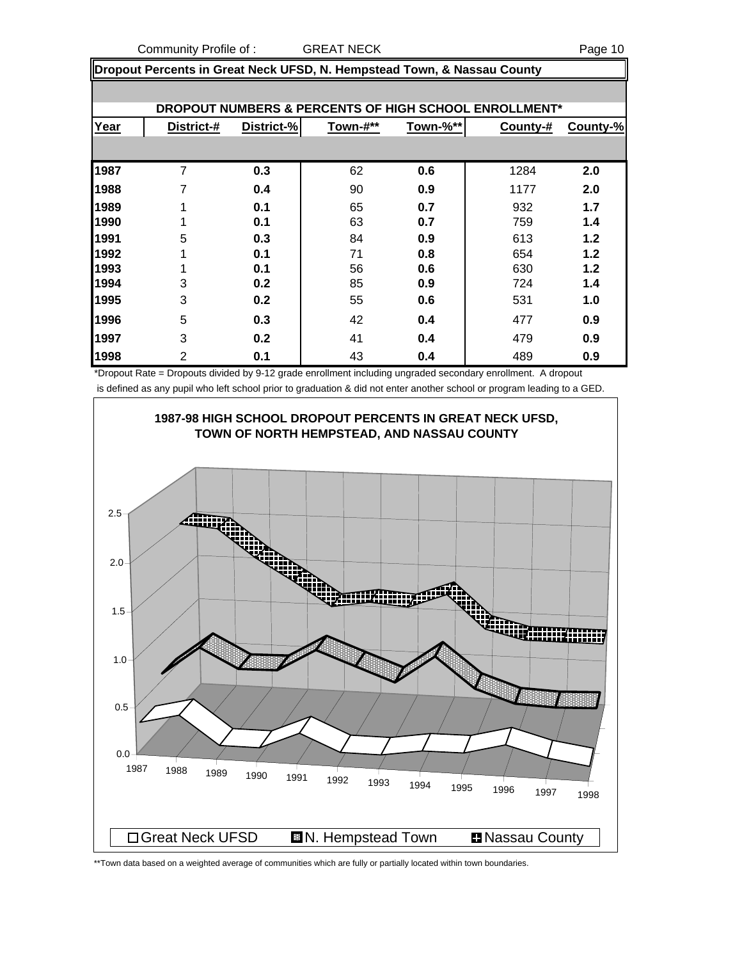Community Profile of : GREAT NECK **Page 10** 

**Dropout Percents in Great Neck UFSD, N. Hempstead Town, & Nassau County**

|      | DROPOUT NUMBERS & PERCENTS OF HIGH SCHOOL ENROLLMENT* |            |          |          |          |          |  |  |  |  |  |
|------|-------------------------------------------------------|------------|----------|----------|----------|----------|--|--|--|--|--|
| Year | District-#                                            | District-% | Town-#** | Town-%** | County-# | County-% |  |  |  |  |  |
|      |                                                       |            |          |          |          |          |  |  |  |  |  |
| 1987 | 7                                                     | 0.3        | 62       | 0.6      | 1284     | 2.0      |  |  |  |  |  |
| 1988 | 7                                                     | 0.4        | 90       | 0.9      | 1177     | 2.0      |  |  |  |  |  |
| 1989 |                                                       | 0.1        | 65       | 0.7      | 932      | 1.7      |  |  |  |  |  |
| 1990 |                                                       | 0.1        | 63       | 0.7      | 759      | 1.4      |  |  |  |  |  |
| 1991 | 5                                                     | 0.3        | 84       | 0.9      | 613      | 1.2      |  |  |  |  |  |
| 1992 | 4                                                     | 0.1        | 71       | 0.8      | 654      | 1.2      |  |  |  |  |  |
| 1993 | 4                                                     | 0.1        | 56       | 0.6      | 630      | 1.2      |  |  |  |  |  |
| 1994 | 3                                                     | 0.2        | 85       | 0.9      | 724      | 1.4      |  |  |  |  |  |
| 1995 | 3                                                     | 0.2        | 55       | 0.6      | 531      | 1.0      |  |  |  |  |  |
| 1996 | 5                                                     | 0.3        | 42       | 0.4      | 477      | 0.9      |  |  |  |  |  |
| 1997 | 3                                                     | 0.2        | 41       | 0.4      | 479      | 0.9      |  |  |  |  |  |
| 1998 | $\overline{2}$                                        | 0.1        | 43       | 0.4      | 489      | 0.9      |  |  |  |  |  |

\*Dropout Rate = Dropouts divided by 9-12 grade enrollment including ungraded secondary enrollment. A dropout

is defined as any pupil who left school prior to graduation & did not enter another school or program leading to a GED.



\*\*Town data based on a weighted average of communities which are fully or partially located within town boundaries.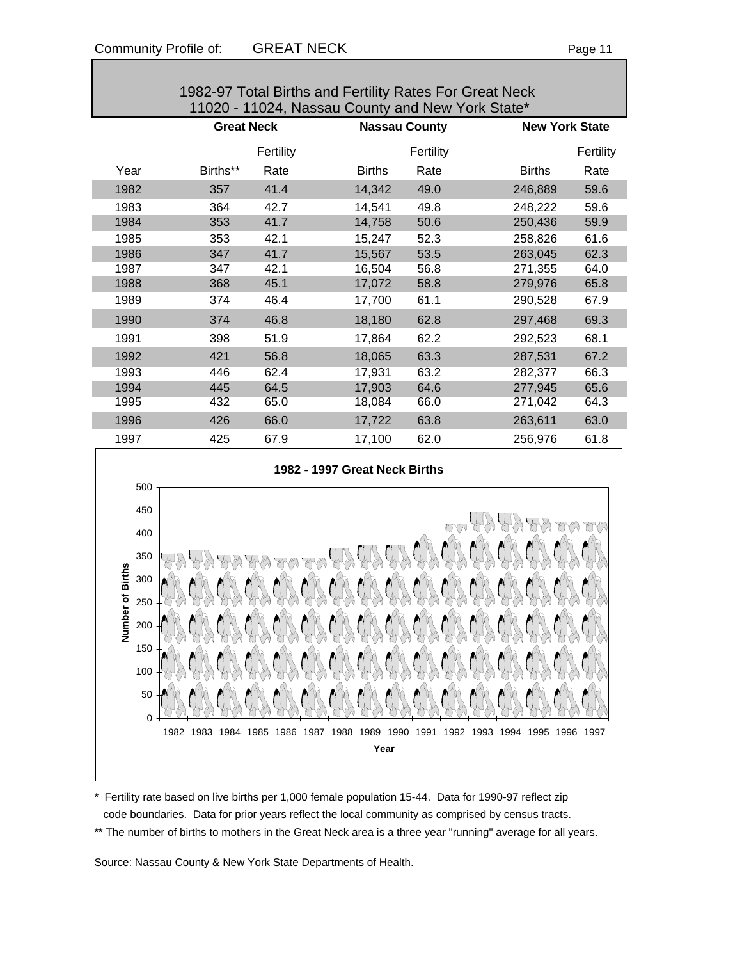| 1962-97 TOTAL DILITIS AND FEITING RATES FOR GREAT NECK<br>11020 - 11024, Nassau County and New York State* |                   |           |                               |           |                       |           |  |  |  |  |
|------------------------------------------------------------------------------------------------------------|-------------------|-----------|-------------------------------|-----------|-----------------------|-----------|--|--|--|--|
|                                                                                                            | <b>Great Neck</b> |           | <b>Nassau County</b>          |           | <b>New York State</b> |           |  |  |  |  |
|                                                                                                            |                   | Fertility |                               | Fertility |                       | Fertility |  |  |  |  |
| Year                                                                                                       | Births**          | Rate      | <b>Births</b>                 | Rate      | <b>Births</b>         | Rate      |  |  |  |  |
| 1982                                                                                                       | 357               | 41.4      | 14,342                        | 49.0      | 246,889               | 59.6      |  |  |  |  |
| 1983                                                                                                       | 364               | 42.7      | 14,541                        | 49.8      | 248,222               | 59.6      |  |  |  |  |
| 1984                                                                                                       | 353               | 41.7      | 14,758                        | 50.6      | 250,436               | 59.9      |  |  |  |  |
| 1985                                                                                                       | 353               | 42.1      | 15,247                        | 52.3      | 258,826               | 61.6      |  |  |  |  |
| 1986                                                                                                       | 347               | 41.7      | 15,567                        | 53.5      | 263,045               | 62.3      |  |  |  |  |
| 1987                                                                                                       | 347               | 42.1      | 16,504                        | 56.8      | 271,355               | 64.0      |  |  |  |  |
| 1988                                                                                                       | 368               | 45.1      | 17,072                        | 58.8      | 279,976               | 65.8      |  |  |  |  |
| 1989                                                                                                       | 374               | 46.4      | 17,700                        | 61.1      | 290,528               | 67.9      |  |  |  |  |
| 1990                                                                                                       | 374               | 46.8      | 18,180                        | 62.8      | 297,468               | 69.3      |  |  |  |  |
| 1991                                                                                                       | 398               | 51.9      | 17,864                        | 62.2      | 292,523               | 68.1      |  |  |  |  |
| 1992                                                                                                       | 421               | 56.8      | 18,065                        | 63.3      | 287,531               | 67.2      |  |  |  |  |
| 1993                                                                                                       | 446               | 62.4      | 17,931                        | 63.2      | 282,377               | 66.3      |  |  |  |  |
| 1994                                                                                                       | 445               | 64.5      | 17,903                        | 64.6      | 277,945               | 65.6      |  |  |  |  |
| 1995                                                                                                       | 432               | 65.0      | 18,084                        | 66.0      | 271,042               | 64.3      |  |  |  |  |
| 1996                                                                                                       | 426               | 66.0      | 17,722                        | 63.8      | 263,611               | 63.0      |  |  |  |  |
| 1997                                                                                                       | 425               | 67.9      | 17,100                        | 62.0      | 256,976               | 61.8      |  |  |  |  |
| 500                                                                                                        |                   |           | 1982 - 1997 Great Neck Births |           |                       |           |  |  |  |  |
| 450                                                                                                        |                   |           |                               |           |                       |           |  |  |  |  |
|                                                                                                            |                   |           |                               |           |                       |           |  |  |  |  |
| 400                                                                                                        |                   |           |                               |           |                       |           |  |  |  |  |
| 350                                                                                                        |                   |           |                               |           |                       |           |  |  |  |  |
| 300                                                                                                        |                   |           |                               |           |                       |           |  |  |  |  |
| 250                                                                                                        |                   |           |                               |           |                       |           |  |  |  |  |
| Number of Births<br>200                                                                                    |                   |           |                               |           |                       |           |  |  |  |  |

# 1982-97 Total Births and Fertility Rates For Great Neck

\* Fertility rate based on live births per 1,000 female population 15-44. Data for 1990-97 reflect zip code boundaries. Data for prior years reflect the local community as comprised by census tracts.

\*\* The number of births to mothers in the Great Neck area is a three year "running" average for all years.

1982 1983 1984 1985 1986 1987 1988 1989 1990 1991 1992 1993 1994 1995 1996 1997 **Year**

Source: Nassau County & New York State Departments of Health.

0 50 100

150 200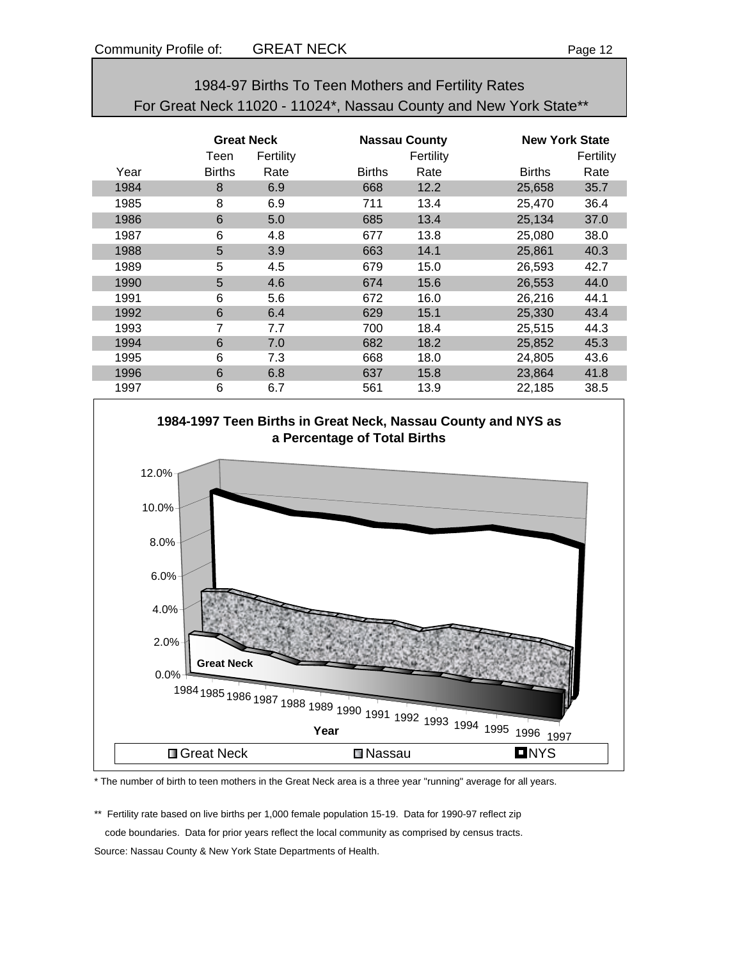| 1984-97 Births To Teen Mothers and Fertility Rates                |
|-------------------------------------------------------------------|
| For Great Neck 11020 - 11024*, Nassau County and New York State** |

|      | <b>Great Neck</b><br>Teen | Fertility |               | <b>Nassau County</b><br>Fertility | <b>New York State</b> | Fertility |
|------|---------------------------|-----------|---------------|-----------------------------------|-----------------------|-----------|
| Year | <b>Births</b>             | Rate      | <b>Births</b> | Rate                              | <b>Births</b>         | Rate      |
| 1984 | 8                         | 6.9       | 668           | 12.2                              | 25,658                | 35.7      |
| 1985 | 8                         | 6.9       | 711           | 13.4                              | 25,470                | 36.4      |
| 1986 | 6                         | 5.0       | 685           | 13.4                              | 25,134                | 37.0      |
| 1987 | 6                         | 4.8       | 677           | 13.8                              | 25,080                | 38.0      |
| 1988 | 5                         | 3.9       | 663           | 14.1                              | 25,861                | 40.3      |
| 1989 | 5                         | 4.5       | 679           | 15.0                              | 26,593                | 42.7      |
| 1990 | 5                         | 4.6       | 674           | 15.6                              | 26,553                | 44.0      |
| 1991 | 6                         | 5.6       | 672           | 16.0                              | 26,216                | 44.1      |
| 1992 | 6                         | 6.4       | 629           | 15.1                              | 25,330                | 43.4      |
| 1993 |                           | 7.7       | 700           | 18.4                              | 25,515                | 44.3      |
| 1994 | 6                         | 7.0       | 682           | 18.2                              | 25,852                | 45.3      |
| 1995 | 6                         | 7.3       | 668           | 18.0                              | 24,805                | 43.6      |
| 1996 | 6                         | 6.8       | 637           | 15.8                              | 23,864                | 41.8      |
| 1997 | 6                         | 6.7       | 561           | 13.9                              | 22,185                | 38.5      |



\* The number of birth to teen mothers in the Great Neck area is a three year "running" average for all years.

\*\* Fertility rate based on live births per 1,000 female population 15-19. Data for 1990-97 reflect zip code boundaries. Data for prior years reflect the local community as comprised by census tracts. Source: Nassau County & New York State Departments of Health.